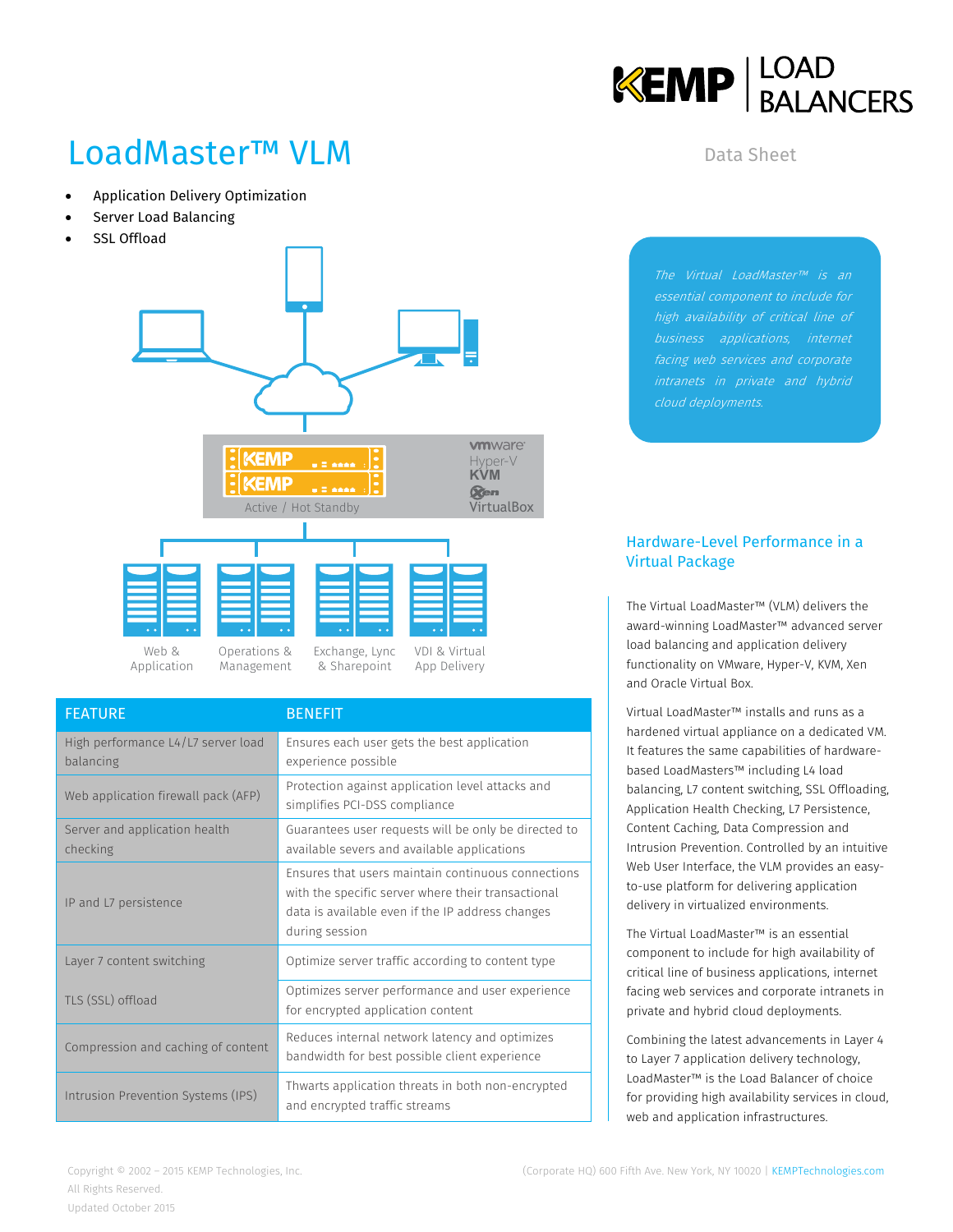

# LoadMaster™ VLM

- Application Delivery Optimization
- Server Load Balancing
- SSL Offload



| <b>FEATURE</b>                                  | <b>BENEFIT</b>                                                                                                                                                                 |  |
|-------------------------------------------------|--------------------------------------------------------------------------------------------------------------------------------------------------------------------------------|--|
| High performance L4/L7 server load<br>balancing | Ensures each user gets the best application<br>experience possible                                                                                                             |  |
| Web application firewall pack (AFP)             | Protection against application level attacks and<br>simplifies PCI-DSS compliance                                                                                              |  |
| Server and application health<br>checking       | Guarantees user requests will be only be directed to<br>available severs and available applications                                                                            |  |
| IP and L7 persistence                           | Ensures that users maintain continuous connections<br>with the specific server where their transactional<br>data is available even if the IP address changes<br>during session |  |
| Layer 7 content switching                       | Optimize server traffic according to content type                                                                                                                              |  |
| TLS (SSL) offload                               | Optimizes server performance and user experience<br>for encrypted application content                                                                                          |  |
| Compression and caching of content              | Reduces internal network latency and optimizes<br>bandwidth for best possible client experience                                                                                |  |
| Intrusion Prevention Systems (IPS)              | Thwarts application threats in both non-encrypted<br>and encrypted traffic streams                                                                                             |  |

Data Sheet

The Virtual LoadMaster™ is an essential component to include for business applications, internet facing web services and corporate cloud deployments.

#### Hardware-Level Performance in a Virtual Package

The Virtual LoadMaster™ (VLM) delivers the award-winning LoadMaster™ advanced server load balancing and application delivery functionality on VMware, Hyper-V, KVM, Xen and Oracle Virtual Box.

Virtual LoadMaster™ installs and runs as a hardened virtual appliance on a dedicated VM. It features the same capabilities of hardwarebased LoadMasters™ including L4 load balancing, L7 content switching, SSL Offloading, Application Health Checking, L7 Persistence, Content Caching, Data Compression and Intrusion Prevention. Controlled by an intuitive Web User Interface, the VLM provides an easyto-use platform for delivering application delivery in virtualized environments.

The Virtual LoadMaster™ is an essential component to include for high availability of critical line of business applications, internet facing web services and corporate intranets in private and hybrid cloud deployments.

Combining the latest advancements in Layer 4 to Layer 7 application delivery technology, LoadMaster™ is the Load Balancer of choice for providing high availability services in cloud, web and application infrastructures.